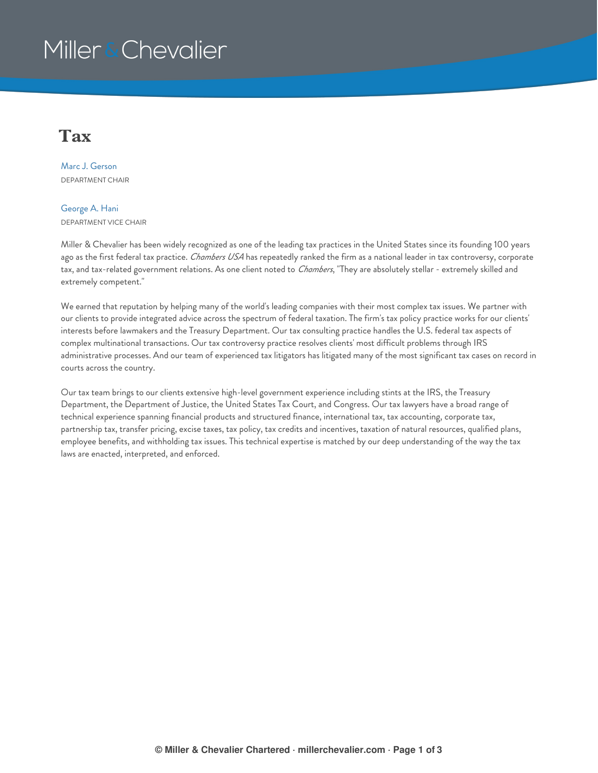## Miller & Chevalier

### **Tax**

Marc J. [Gerson](https://www.millerchevalier.com/professional/marc-j-gerson) DEPARTMENT CHAIR

#### [George](https://www.millerchevalier.com/professional/george-hani) A. Hani DEPARTMENT VICE CHAIR

Miller & Chevalier has been widely recognized as one of the leading tax practices in the United States since its founding 100 years ago as the first federal tax practice. *Chambers USA* has repeatedly ranked the firm as a national leader in tax controversy, corporate tax, and tax-related government relations. As one client noted to *Chambers*, "They are absolutely stellar - extremely skilled and extremely competent."

We earned that reputation by helping many of the world's leading companies with their most complex tax issues. We partner with our clients to provide integrated advice across the spectrum of federal taxation. The firm's tax policy practice works for our clients' interests before lawmakers and the Treasury Department. Our tax consulting practice handles the U.S. federal tax aspects of complex multinational transactions. Our tax controversy practice resolves clients' most difficult problems through IRS administrative processes. And our team of experienced tax litigators has litigated many of the most significant tax cases on record in courts across the country.

Our tax team brings to our clients extensive high-level government experience including stints at the IRS, the Treasury Department, the Department of Justice, the United States Tax Court, and Congress. Our tax lawyers have a broad range of technical experience spanning financial products and structured finance, international tax, tax accounting, corporate tax, partnership tax, transfer pricing, excise taxes, tax policy, tax credits and incentives, taxation of natural resources, qualified plans, employee benefits, and withholding tax issues. This technical expertise is matched by our deep understanding of the way the tax laws are enacted, interpreted, and enforced.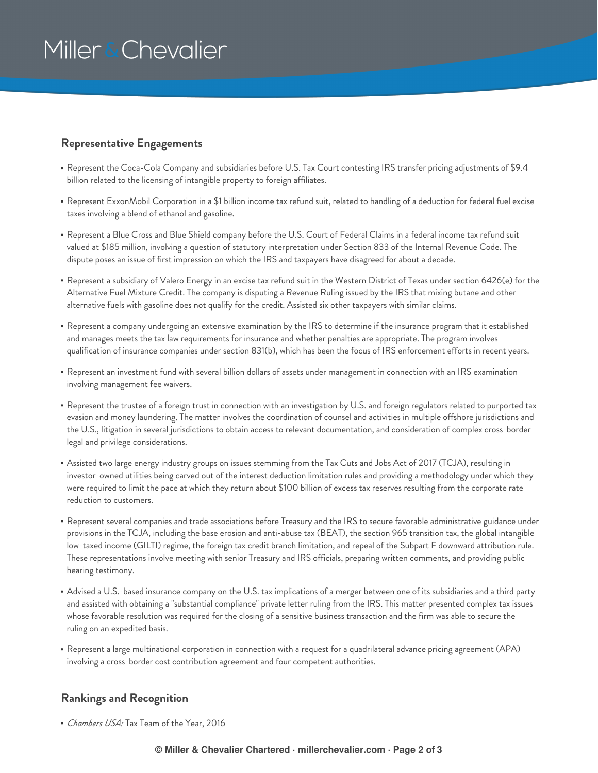# Miller & Chevalier

#### **Representative Engagements**

- Represent the Coca-Cola Company and subsidiaries before U.S. Tax Court contesting IRS transfer pricing adjustments of \$9.4 billion related to the licensing of intangible property to foreign affiliates.
- Represent ExxonMobil Corporation in a \$1 billion income tax refund suit, related to handling of a deduction for federal fuel excise taxes involving a blend of ethanol and gasoline.
- Represent a Blue Cross and Blue Shield company before the U.S. Court of Federal Claims in a federal income tax refund suit valued at \$185 million, involving a question of statutory interpretation under Section 833 of the Internal Revenue Code. The dispute poses an issue of first impression on which the IRS and taxpayers have disagreed for about a decade.
- Represent a subsidiary of Valero Energy in an excise tax refund suit in the Western District of Texas under section 6426(e) for the Alternative Fuel Mixture Credit. The company is disputing a Revenue Ruling issued by the IRS that mixing butane and other alternative fuels with gasoline does not qualify for the credit. Assisted six other taxpayers with similar claims.
- Represent a company undergoing an extensive examination by the IRS to determine if the insurance program that it established and manages meets the tax law requirements for insurance and whether penalties are appropriate. The program involves qualification of insurance companies under section 831(b), which has been the focus of IRS enforcement efforts in recent years.
- Represent an investment fund with several billion dollars of assets under management in connection with an IRS examination involving management fee waivers.
- $\bullet$  Represent the trustee of a foreign trust in connection with an investigation by U.S. and foreign regulators related to purported tax evasion and money laundering. The matter involves the coordination of counsel and activities in multiple offshore jurisdictions and the U.S., litigation in several jurisdictions to obtain access to relevant documentation, and consideration of complex cross-border legal and privilege considerations.
- Assisted two large energy industry groups on issues stemming from the Tax Cuts and Jobs Act of 2017 (TCJA), resulting in investor-owned utilities being carved out of the interest deduction limitation rules and providing a methodology under which they were required to limit the pace at which they return about \$100 billion of excess tax reserves resulting from the corporate rate reduction to customers.
- Represent several companies and trade associations before Treasury and the IRS to secure favorable administrative guidance under provisions in the TCJA, including the base erosion and anti-abuse tax (BEAT), the section 965 transition tax, the global intangible low-taxed income (GILTI) regime, the foreign tax credit branch limitation, and repeal of the Subpart F downward attribution rule. These representations involve meeting with senior Treasury and IRS officials, preparing written comments, and providing public hearing testimony.
- Advised a U.S.-based insurance company on the U.S. tax implications of a merger between one of its subsidiaries and a third party and assisted with obtaining a "substantial compliance" private letter ruling from the IRS. This matter presented complex tax issues whose favorable resolution was required for the closing of a sensitive business transaction and the firm was able to secure the ruling on an expedited basis.
- Represent a large multinational corporation in connection with a request for a quadrilateral advance pricing agreement (APA) involving a cross-border cost contribution agreement and four competent authorities.

#### **Rankings and Recognition**

*Chambers USA:* Tax Team of the Year, 2016